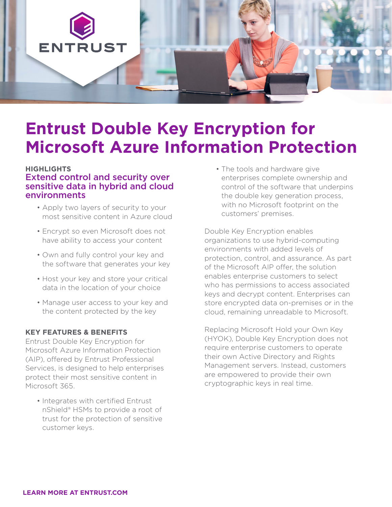

# **Entrust Double Key Encryption for Microsoft Azure Information Protection**

## **HIGHLIGHTS** Extend control and security over sensitive data in hybrid and cloud environments

- Apply two layers of security to your most sensitive content in Azure cloud
- Encrypt so even Microsoft does not have ability to access your content
- Own and fully control your key and the software that generates your key
- Host your key and store your critical data in the location of your choice
- Manage user access to your key and the content protected by the key

#### **KEY FEATURES & BENEFITS**

Entrust Double Key Encryption for Microsoft Azure Information Protection (AIP), offered by Entrust Professional Services, is designed to help enterprises protect their most sensitive content in Microsoft 365.

• Integrates with certified Entrust nShield® HSMs to provide a root of trust for the protection of sensitive customer keys.

• The tools and hardware give enterprises complete ownership and control of the software that underpins the double key generation process, with no Microsoft footprint on the customers' premises.

Double Key Encryption enables organizations to use hybrid-computing environments with added levels of protection, control, and assurance. As part of the Microsoft AIP offer, the solution enables enterprise customers to select who has permissions to access associated keys and decrypt content. Enterprises can store encrypted data on-premises or in the cloud, remaining unreadable to Microsoft.

Replacing Microsoft Hold your Own Key (HYOK), Double Key Encryption does not require enterprise customers to operate their own Active Directory and Rights Management servers. Instead, customers are empowered to provide their own cryptographic keys in real time.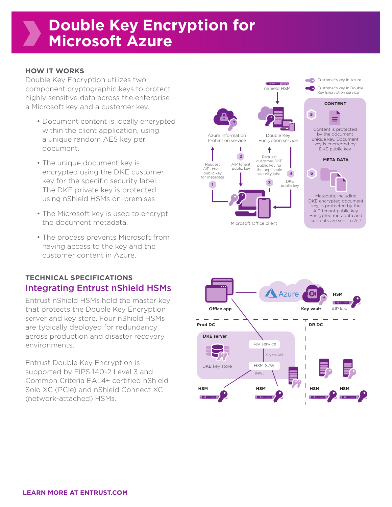#### **HOW IT WORKS**

Double Key Encryption utilizes two component cryptographic keys to protect highly sensitive data across the enterprise – a Microsoft key and a customer key.

- Document content is locally encrypted within the client application, using a unique random AES key per document.
- The unique document key is encrypted using the DKE customer key for the specific security label. The DKE private key is protected using nShield HSMs on-premises
- The Microsoft key is used to encrypt the document metadata.
- The process prevents Microsoft from having access to the key and the customer content in Azure.

## **TECHNICAL SPECIFICATIONS** Integrating Entrust nShield HSMs

Entrust nShield HSMs hold the master key that protects the Double Key Encryption server and key store. Four nShield HSMs are typically deployed for redundancy across production and disaster recovery environments.

Entrust Double Key Encryption is supported by FIPS 140-2 Level 3 and Common Criteria EAL4+ certified nShield Solo XC (PCIe) and nShield Connect XC (network-attached) HSMs.



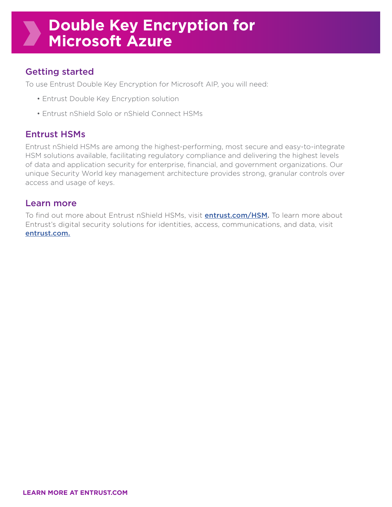# Getting started

To use Entrust Double Key Encryption for Microsoft AIP, you will need:

- Entrust Double Key Encryption solution
- Entrust nShield Solo or nShield Connect HSMs

## Entrust HSMs

Entrust nShield HSMs are among the highest-performing, most secure and easy-to-integrate HSM solutions available, facilitating regulatory compliance and delivering the highest levels of data and application security for enterprise, financial, and government organizations. Our unique Security World key management architecture provides strong, granular controls over access and usage of keys.

## Learn more

To find out more about Entrust nShield HSMs, visit **[entrust.com/HSM](https://www.entrust.com/digital-security/hsm).** To learn more about Entrust's digital security solutions for identities, access, communications, and data, visit [entrust.com.](https://www.entrust.com)